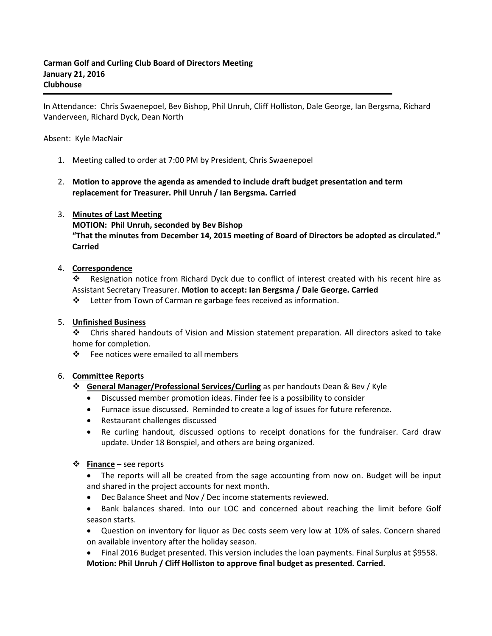In Attendance: Chris Swaenepoel, Bev Bishop, Phil Unruh, Cliff Holliston, Dale George, Ian Bergsma, Richard Vanderveen, Richard Dyck, Dean North

#### Absent: Kyle MacNair

- 1. Meeting called to order at 7:00 PM by President, Chris Swaenepoel
- 2. **Motion to approve the agenda as amended to include draft budget presentation and term replacement for Treasurer. Phil Unruh / Ian Bergsma. Carried**

#### 3. **Minutes of Last Meeting**

**MOTION: Phil Unruh, seconded by Bev Bishop "That the minutes from December 14, 2015 meeting of Board of Directors be adopted as circulated." Carried**

#### 4. **Correspondence**

 Resignation notice from Richard Dyck due to conflict of interest created with his recent hire as Assistant Secretary Treasurer. **Motion to accept: Ian Bergsma / Dale George. Carried**

Letter from Town of Carman re garbage fees received as information.

#### 5. **Unfinished Business**

 Chris shared handouts of Vision and Mission statement preparation. All directors asked to take home for completion.

Fee notices were emailed to all members

## 6. **Committee Reports**

## **General Manager/Professional Services/Curling** as per handouts Dean & Bev / Kyle

- Discussed member promotion ideas. Finder fee is a possibility to consider
- Furnace issue discussed. Reminded to create a log of issues for future reference.
- Restaurant challenges discussed
- Re curling handout, discussed options to receipt donations for the fundraiser. Card draw update. Under 18 Bonspiel, and others are being organized.

#### **Finance** – see reports

 The reports will all be created from the sage accounting from now on. Budget will be input and shared in the project accounts for next month.

- Dec Balance Sheet and Nov / Dec income statements reviewed.
- Bank balances shared. Into our LOC and concerned about reaching the limit before Golf season starts.
- Question on inventory for liquor as Dec costs seem very low at 10% of sales. Concern shared on available inventory after the holiday season.

 Final 2016 Budget presented. This version includes the loan payments. Final Surplus at \$9558. **Motion: Phil Unruh / Cliff Holliston to approve final budget as presented. Carried.**